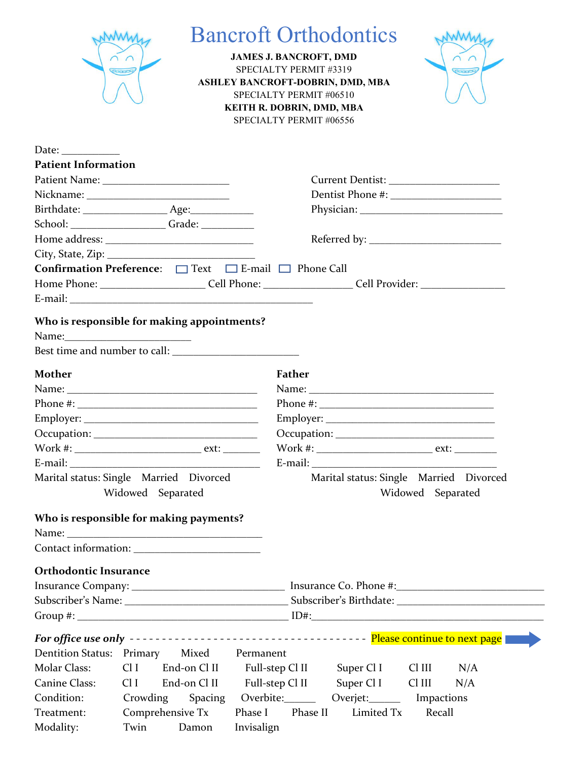|                              |                                                                                                                                                                                                                                                                                                                                                                        | <b>Bancroft Orthodontics</b><br><b>JAMES J. BANCROFT, DMD</b><br>$\cap$ $\cap$<br>SPECIALTY PERMIT #3319<br><b>Ponney</b><br>ASHLEY BANCROFT-DOBRIN, DMD, MBA<br>SPECIALTY PERMIT #06510<br>KEITH R. DOBRIN, DMD, MBA<br>SPECIALTY PERMIT #06556 |
|------------------------------|------------------------------------------------------------------------------------------------------------------------------------------------------------------------------------------------------------------------------------------------------------------------------------------------------------------------------------------------------------------------|--------------------------------------------------------------------------------------------------------------------------------------------------------------------------------------------------------------------------------------------------|
| Date:                        |                                                                                                                                                                                                                                                                                                                                                                        |                                                                                                                                                                                                                                                  |
| <b>Patient Information</b>   |                                                                                                                                                                                                                                                                                                                                                                        |                                                                                                                                                                                                                                                  |
|                              |                                                                                                                                                                                                                                                                                                                                                                        |                                                                                                                                                                                                                                                  |
|                              |                                                                                                                                                                                                                                                                                                                                                                        |                                                                                                                                                                                                                                                  |
|                              |                                                                                                                                                                                                                                                                                                                                                                        |                                                                                                                                                                                                                                                  |
|                              | School: ___________________Grade: ____________                                                                                                                                                                                                                                                                                                                         |                                                                                                                                                                                                                                                  |
|                              |                                                                                                                                                                                                                                                                                                                                                                        |                                                                                                                                                                                                                                                  |
|                              |                                                                                                                                                                                                                                                                                                                                                                        |                                                                                                                                                                                                                                                  |
|                              | Confirmation Preference: □ Text □ E-mail □ Phone Call                                                                                                                                                                                                                                                                                                                  |                                                                                                                                                                                                                                                  |
|                              |                                                                                                                                                                                                                                                                                                                                                                        | Home Phone: ___________________________Cell Phone: _____________________Cell Provider: ______________________                                                                                                                                    |
|                              |                                                                                                                                                                                                                                                                                                                                                                        |                                                                                                                                                                                                                                                  |
| <b>Mother</b>                | Phone #: $\frac{1}{2}$ = $\frac{1}{2}$ = $\frac{1}{2}$ = $\frac{1}{2}$ = $\frac{1}{2}$ = $\frac{1}{2}$ = $\frac{1}{2}$ = $\frac{1}{2}$ = $\frac{1}{2}$ = $\frac{1}{2}$ = $\frac{1}{2}$ = $\frac{1}{2}$ = $\frac{1}{2}$ = $\frac{1}{2}$ = $\frac{1}{2}$ = $\frac{1}{2}$ = $\frac{1}{2}$ = $\frac{1}{2}$<br>Marital status: Single Married Divorced<br>Widowed Separated | Father<br>Marital status: Single Married Divorced<br>Widowed Separated                                                                                                                                                                           |
|                              |                                                                                                                                                                                                                                                                                                                                                                        |                                                                                                                                                                                                                                                  |
|                              | Who is responsible for making payments?                                                                                                                                                                                                                                                                                                                                |                                                                                                                                                                                                                                                  |
|                              |                                                                                                                                                                                                                                                                                                                                                                        |                                                                                                                                                                                                                                                  |
| <b>Orthodontic Insurance</b> |                                                                                                                                                                                                                                                                                                                                                                        |                                                                                                                                                                                                                                                  |
|                              |                                                                                                                                                                                                                                                                                                                                                                        |                                                                                                                                                                                                                                                  |
|                              |                                                                                                                                                                                                                                                                                                                                                                        |                                                                                                                                                                                                                                                  |
| Dentition Status: Primary    | Mixed                                                                                                                                                                                                                                                                                                                                                                  | Permanent                                                                                                                                                                                                                                        |
| Molar Class:                 | End-on Cl II<br>Cl <sub>I</sub>                                                                                                                                                                                                                                                                                                                                        | Full-step Cl II Super Cl I<br>Cl III<br>N/A                                                                                                                                                                                                      |
| <b>Canine Class:</b>         | Cl <sub>I</sub><br>End-on Cl II                                                                                                                                                                                                                                                                                                                                        | Full-step Cl II Super Cl I<br>Cl III<br>N/A                                                                                                                                                                                                      |
| Condition:                   | Crowding<br>Spacing                                                                                                                                                                                                                                                                                                                                                    | Overbite: Overjet:<br>Impactions                                                                                                                                                                                                                 |
| Treatment:                   | Comprehensive Tx                                                                                                                                                                                                                                                                                                                                                       | Phase I<br>Phase II<br>Limited Tx<br>Recall                                                                                                                                                                                                      |
| Modality:                    | Twin<br>Damon                                                                                                                                                                                                                                                                                                                                                          | Invisalign                                                                                                                                                                                                                                       |